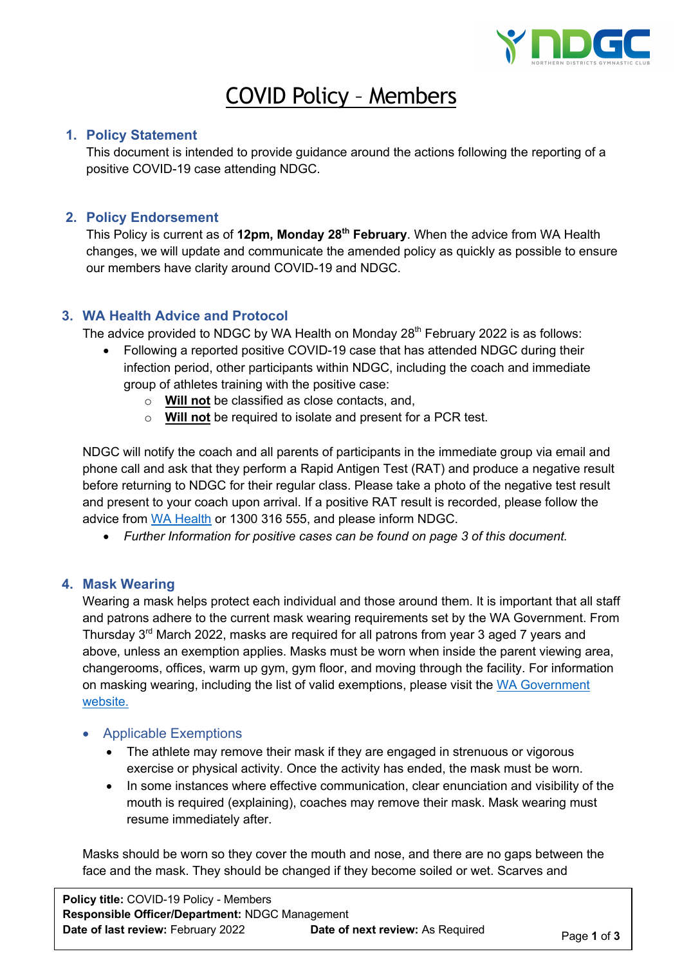

# COVID Policy – Members

## **1. Policy Statement**

This document is intended to provide guidance around the actions following the reporting of a positive COVID-19 case attending NDGC.

## **2. Policy Endorsement**

This Policy is current as of **12pm, Monday 28th February**. When the advice from WA Health changes, we will update and communicate the amended policy as quickly as possible to ensure our members have clarity around COVID-19 and NDGC.

## **3. WA Health Advice and Protocol**

The advice provided to NDGC by WA Health on Monday  $28<sup>th</sup>$  February 2022 is as follows:

- Following a reported positive COVID-19 case that has attended NDGC during their infection period, other participants within NDGC, including the coach and immediate group of athletes training with the positive case:
	- o **Will not** be classified as close contacts, and,
	- o **Will not** be required to isolate and present for a PCR test.

NDGC will notify the coach and all parents of participants in the immediate group via email and phone call and ask that they perform a Rapid Antigen Test (RAT) and produce a negative result before returning to NDGC for their regular class. Please take a photo of the negative test result and present to your coach upon arrival. If a positive RAT result is recorded, please follow the advice from WA Health or 1300 316 555, and please inform NDGC.

• *Further Information for positive cases can be found on page 3 of this document.*

#### **4. Mask Wearing**

Wearing a mask helps protect each individual and those around them. It is important that all staff and patrons adhere to the current mask wearing requirements set by the WA Government. From Thursday  $3<sup>rd</sup>$  March 2022, masks are required for all patrons from year 3 aged 7 years and above, unless an exemption applies. Masks must be worn when inside the parent viewing area, changerooms, offices, warm up gym, gym floor, and moving through the facility. For information on masking wearing, including the list of valid exemptions, please visit the WA Government website.

- Applicable Exemptions
	- The athlete may remove their mask if they are engaged in strenuous or vigorous exercise or physical activity. Once the activity has ended, the mask must be worn.
	- In some instances where effective communication, clear enunciation and visibility of the mouth is required (explaining), coaches may remove their mask. Mask wearing must resume immediately after.

Masks should be worn so they cover the mouth and nose, and there are no gaps between the face and the mask. They should be changed if they become soiled or wet. Scarves and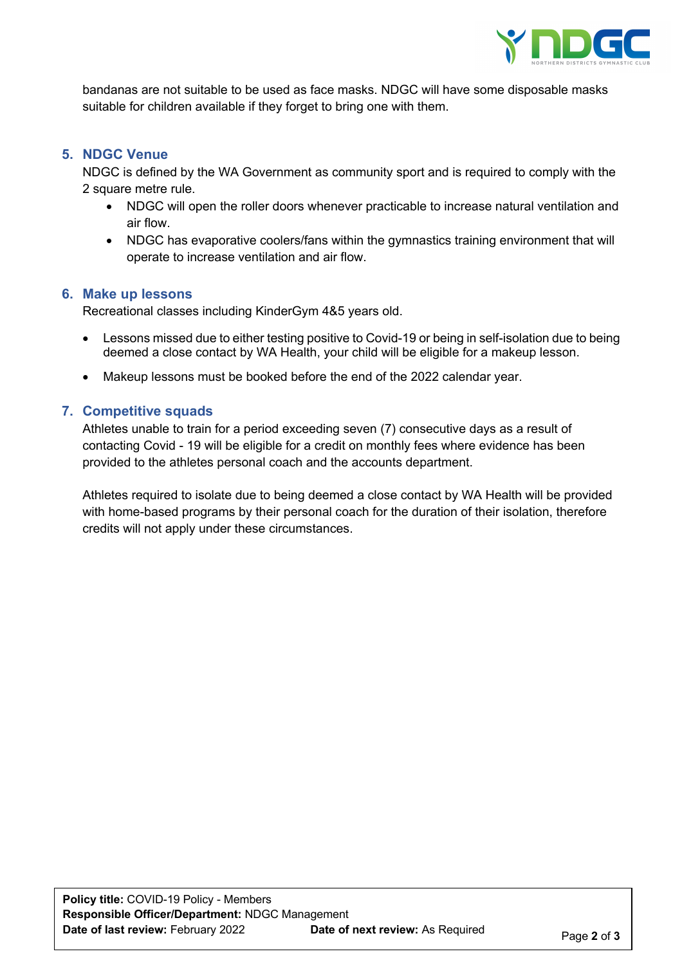

bandanas are not suitable to be used as face masks. NDGC will have some disposable masks suitable for children available if they forget to bring one with them.

#### **5. NDGC Venue**

NDGC is defined by the WA Government as community sport and is required to comply with the 2 square metre rule.

- NDGC will open the roller doors whenever practicable to increase natural ventilation and air flow.
- NDGC has evaporative coolers/fans within the gymnastics training environment that will operate to increase ventilation and air flow.

#### **6. Make up lessons**

Recreational classes including KinderGym 4&5 years old.

- Lessons missed due to either testing positive to Covid-19 or being in self-isolation due to being deemed a close contact by WA Health, your child will be eligible for a makeup lesson.
- Makeup lessons must be booked before the end of the 2022 calendar year.

#### **7. Competitive squads**

Athletes unable to train for a period exceeding seven (7) consecutive days as a result of contacting Covid - 19 will be eligible for a credit on monthly fees where evidence has been provided to the athletes personal coach and the accounts department.

Athletes required to isolate due to being deemed a close contact by WA Health will be provided with home-based programs by their personal coach for the duration of their isolation, therefore credits will not apply under these circumstances.